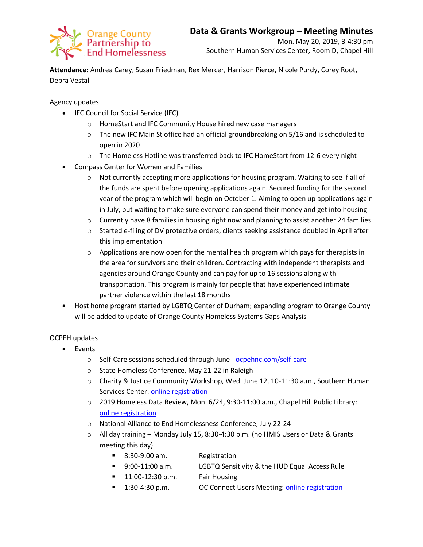

**Attendance:** Andrea Carey, Susan Friedman, Rex Mercer, Harrison Pierce, Nicole Purdy, Corey Root, Debra Vestal

Agency updates

- IFC Council for Social Service (IFC)
	- o HomeStart and IFC Community House hired new case managers
	- $\circ$  The new IFC Main St office had an official groundbreaking on 5/16 and is scheduled to open in 2020
	- o The Homeless Hotline was transferred back to IFC HomeStart from 12-6 every night
- Compass Center for Women and Families
	- $\circ$  Not currently accepting more applications for housing program. Waiting to see if all of the funds are spent before opening applications again. Secured funding for the second year of the program which will begin on October 1. Aiming to open up applications again in July, but waiting to make sure everyone can spend their money and get into housing
	- o Currently have 8 families in housing right now and planning to assist another 24 families
	- $\circ$  Started e-filing of DV protective orders, clients seeking assistance doubled in April after this implementation
	- $\circ$  Applications are now open for the mental health program which pays for therapists in the area for survivors and their children. Contracting with independent therapists and agencies around Orange County and can pay for up to 16 sessions along with transportation. This program is mainly for people that have experienced intimate partner violence within the last 18 months
- Host home program started by LGBTQ Center of Durham; expanding program to Orange County will be added to update of Orange County Homeless Systems Gaps Analysis

## OCPEH updates

- Events
	- o Self-Care sessions scheduled through June [ocpehnc.com/self-care](https://www.ocpehnc.com/self-care)
	- o State Homeless Conference, May 21-22 in Raleigh
	- o Charity & Justice Community Workshop, Wed. June 12, 10-11:30 a.m., Southern Human Services Center: [online registration](https://docs.google.com/forms/d/e/1FAIpQLSdTNLLLY42QM34b0d_KzJ5HWY76d71e2XuJbYI2U6QfKPxdNw/viewform)
	- $\circ$  2019 Homeless Data Review, Mon. 6/24, 9:30-11:00 a.m., Chapel Hill Public Library: [online registration](https://www.eventbrite.com/e/2019-homeless-data-review-tickets-61690352505)
	- o National Alliance to End Homelessness Conference, July 22-24
	- o All day training Monday July 15, 8:30-4:30 p.m. (no HMIS Users or Data & Grants meeting this day)
		- 8:30-9:00 am. Registration
		- 9:00-11:00 a.m. LGBTQ Sensitivity & the HUD Equal Access Rule
		- **11:00-12:30 p.m. Fair Housing**
		- <sup>1</sup> 1:30-4:30 p.m. **OC Connect Users Meeting[: online registration](https://forms.gle/qFyzDrkuog9JozMD9)**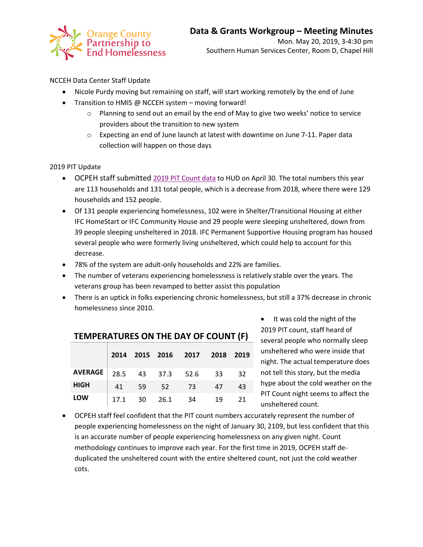

NCCEH Data Center Staff Update

- Nicole Purdy moving but remaining on staff, will start working remotely by the end of June
- Transition to HMIS @ NCCEH system moving forward!
	- o Planning to send out an email by the end of May to give two weeks' notice to service providers about the transition to new system
	- $\circ$  Expecting an end of June launch at latest with downtime on June 7-11. Paper data collection will happen on those days

2019 PIT Update

- OCPEH staff submitted [2019 PIT Count data](https://docs.wixstatic.com/ugd/750b3b_4ae6dfe71f1e462f92e5b4040a5b7cee.pdf) to HUD on April 30. The total numbers this year are 113 households and 131 total people, which is a decrease from 2018, where there were 129 households and 152 people.
- Of 131 people experiencing homelessness, 102 were in Shelter/Transitional Housing at either IFC HomeStart or IFC Community House and 29 people were sleeping unsheltered, down from 39 people sleeping unsheltered in 2018. IFC Permanent Supportive Housing program has housed several people who were formerly living unsheltered, which could help to account for this decrease.
- 78% of the system are adult-only households and 22% are families.
- The number of veterans experiencing homelessness is relatively stable over the years. The veterans group has been revamped to better assist this population
- There is an uptick in folks experiencing chronic homelessness, but still a 37% decrease in chronic homelessness since 2010.

|                |  |              | 2014 2015 2016 2017 2018 2019 |    |    |
|----------------|--|--------------|-------------------------------|----|----|
| <b>AVERAGE</b> |  |              | 28.5 43 37.3 52.6 33 32       |    |    |
| <b>HIGH</b>    |  |              | 41 59 52 73                   | 47 | 43 |
| LOW            |  | 17.1 30 26.1 | - 34                          | 19 | 21 |

• It was cold the night of the 2019 PIT count, staff heard of several people who normally sleep unsheltered who were inside that night. The actual temperature does not tell this story, but the media hype about the cold weather on the PIT Count night seems to affect the unsheltered count.

 OCPEH staff feel confident that the PIT count numbers accurately represent the number of people experiencing homelessness on the night of January 30, 2109, but less confident that this is an accurate number of people experiencing homelessness on any given night. Count methodology continues to improve each year. For the first time in 2019, OCPEH staff deduplicated the unsheltered count with the entire sheltered count, not just the cold weather cots.

## **TEMPERATURES ON THE DAY OF COUNT (F)**